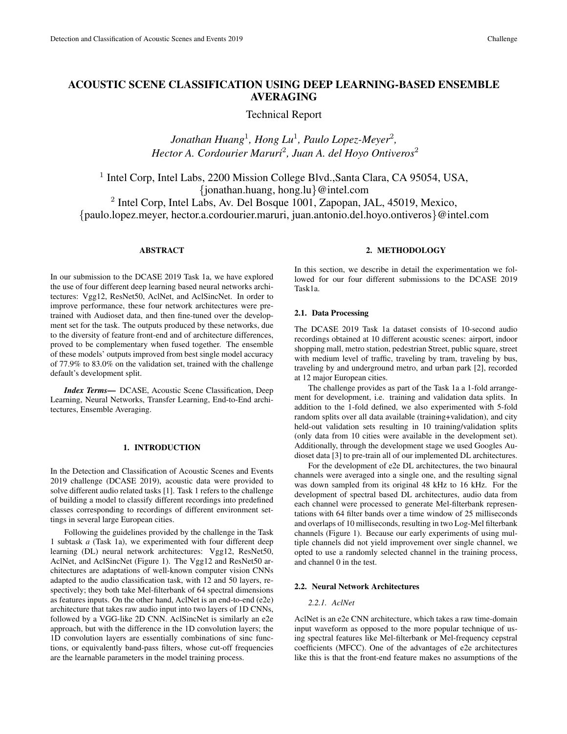# ACOUSTIC SCENE CLASSIFICATION USING DEEP LEARNING-BASED ENSEMBLE AVERAGING

Technical Report

*Jonathan Huang*<sup>1</sup> *, Hong Lu*<sup>1</sup> *, Paulo Lopez-Meyer*<sup>2</sup> *, Hector A. Cordourier Maruri*<sup>2</sup> *, Juan A. del Hoyo Ontiveros*<sup>2</sup>

<sup>1</sup> Intel Corp, Intel Labs, 2200 Mission College Blvd., Santa Clara, CA 95054, USA, {jonathan.huang, hong.lu}@intel.com 2 Intel Corp, Intel Labs, Av. Del Bosque 1001, Zapopan, JAL, 45019, Mexico,

{paulo.lopez.meyer, hector.a.cordourier.maruri, juan.antonio.del.hoyo.ontiveros}@intel.com

# ABSTRACT

In our submission to the DCASE 2019 Task 1a, we have explored the use of four different deep learning based neural networks architectures: Vgg12, ResNet50, AclNet, and AclSincNet. In order to improve performance, these four network architectures were pretrained with Audioset data, and then fine-tuned over the development set for the task. The outputs produced by these networks, due to the diversity of feature front-end and of architecture differences, proved to be complementary when fused together. The ensemble of these models' outputs improved from best single model accuracy of 77.9% to 83.0% on the validation set, trained with the challenge default's development split.

*Index Terms*— DCASE, Acoustic Scene Classification, Deep Learning, Neural Networks, Transfer Learning, End-to-End architectures, Ensemble Averaging.

## 1. INTRODUCTION

In the Detection and Classification of Acoustic Scenes and Events 2019 challenge (DCASE 2019), acoustic data were provided to solve different audio related tasks [1]. Task 1 refers to the challenge of building a model to classify different recordings into predefined classes corresponding to recordings of different environment settings in several large European cities.

Following the guidelines provided by the challenge in the Task 1 subtask *a* (Task 1a), we experimented with four different deep learning (DL) neural network architectures: Vgg12, ResNet50, AclNet, and AclSincNet (Figure 1). The Vgg12 and ResNet50 architectures are adaptations of well-known computer vision CNNs adapted to the audio classification task, with 12 and 50 layers, respectively; they both take Mel-filterbank of 64 spectral dimensions as features inputs. On the other hand, AclNet is an end-to-end (e2e) architecture that takes raw audio input into two layers of 1D CNNs, followed by a VGG-like 2D CNN. AclSincNet is similarly an e2e approach, but with the difference in the 1D convolution layers; the 1D convolution layers are essentially combinations of sinc functions, or equivalently band-pass filters, whose cut-off frequencies are the learnable parameters in the model training process.

## 2. METHODOLOGY

In this section, we describe in detail the experimentation we followed for our four different submissions to the DCASE 2019 Task1a.

#### 2.1. Data Processing

The DCASE 2019 Task 1a dataset consists of 10-second audio recordings obtained at 10 different acoustic scenes: airport, indoor shopping mall, metro station, pedestrian Street, public square, street with medium level of traffic, traveling by tram, traveling by bus, traveling by and underground metro, and urban park [2], recorded at 12 major European cities.

The challenge provides as part of the Task 1a a 1-fold arrangement for development, i.e. training and validation data splits. In addition to the 1-fold defined, we also experimented with 5-fold random splits over all data available (training+validation), and city held-out validation sets resulting in 10 training/validation splits (only data from 10 cities were available in the development set). Additionally, through the development stage we used Googles Audioset data [3] to pre-train all of our implemented DL architectures.

For the development of e2e DL architectures, the two binaural channels were averaged into a single one, and the resulting signal was down sampled from its original 48 kHz to 16 kHz. For the development of spectral based DL architectures, audio data from each channel were processed to generate Mel-filterbank representations with 64 filter bands over a time window of 25 milliseconds and overlaps of 10 milliseconds, resulting in two Log-Mel filterbank channels (Figure 1). Because our early experiments of using multiple channels did not yield improvement over single channel, we opted to use a randomly selected channel in the training process, and channel 0 in the test.

#### 2.2. Neural Network Architectures

## *2.2.1. AclNet*

AclNet is an e2e CNN architecture, which takes a raw time-domain input waveform as opposed to the more popular technique of using spectral features like Mel-filterbank or Mel-frequency cepstral coefficients (MFCC). One of the advantages of e2e architectures like this is that the front-end feature makes no assumptions of the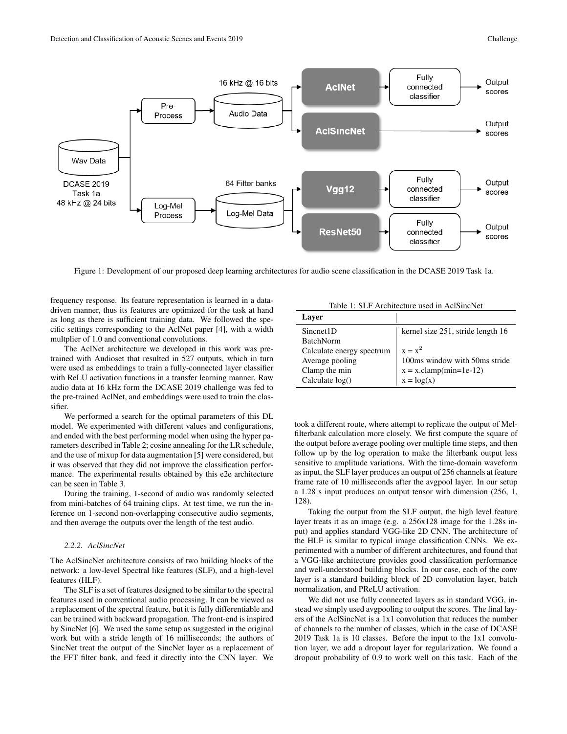

Figure 1: Development of our proposed deep learning architectures for audio scene classification in the DCASE 2019 Task 1a.

frequency response. Its feature representation is learned in a datadriven manner, thus its features are optimized for the task at hand as long as there is sufficient training data. We followed the specific settings corresponding to the AclNet paper [4], with a width multplier of 1.0 and conventional convolutions.

The AclNet architecture we developed in this work was pretrained with Audioset that resulted in 527 outputs, which in turn were used as embeddings to train a fully-connected layer classifier with ReLU activation functions in a transfer learning manner. Raw audio data at 16 kHz form the DCASE 2019 challenge was fed to the pre-trained AclNet, and embeddings were used to train the classifier.

We performed a search for the optimal parameters of this DL model. We experimented with different values and configurations, and ended with the best performing model when using the hyper parameters described in Table 2; cosine annealing for the LR schedule, and the use of mixup for data augmentation [5] were considered, but it was observed that they did not improve the classification performance. The experimental results obtained by this e2e architecture can be seen in Table 3.

During the training, 1-second of audio was randomly selected from mini-batches of 64 training clips. At test time, we run the inference on 1-second non-overlapping consecutive audio segments, and then average the outputs over the length of the test audio.

#### *2.2.2. AclSincNet*

The AclSincNet architecture consists of two building blocks of the network: a low-level Spectral like features (SLF), and a high-level features (HLF).

The SLF is a set of features designed to be similar to the spectral features used in conventional audio processing. It can be viewed as a replacement of the spectral feature, but it is fully differentiable and can be trained with backward propagation. The front-end is inspired by SincNet [6]. We used the same setup as suggested in the original work but with a stride length of 16 milliseconds; the authors of SincNet treat the output of the SincNet layer as a replacement of the FFT filter bank, and feed it directly into the CNN layer. We

Table 1: SLF Architecture used in AclSincNet

| Laver                     |                                   |
|---------------------------|-----------------------------------|
| Sincnet1D                 | kernel size 251, stride length 16 |
| <b>BatchNorm</b>          |                                   |
| Calculate energy spectrum | $x = x^2$                         |
| Average pooling           | 100ms window with 50ms stride     |
| Clamp the min             | $x = x$ .clamp(min=1e-12)         |
| Calculate $log()$         | $x = log(x)$                      |

took a different route, where attempt to replicate the output of Melfilterbank calculation more closely. We first compute the square of the output before average pooling over multiple time steps, and then follow up by the log operation to make the filterbank output less sensitive to amplitude variations. With the time-domain waveform as input, the SLF layer produces an output of 256 channels at feature frame rate of 10 milliseconds after the avgpool layer. In our setup a 1.28 s input produces an output tensor with dimension (256, 1, 128).

Taking the output from the SLF output, the high level feature layer treats it as an image (e.g. a 256x128 image for the 1.28s input) and applies standard VGG-like 2D CNN. The architecture of the HLF is similar to typical image classification CNNs. We experimented with a number of different architectures, and found that a VGG-like architecture provides good classification performance and well-understood building blocks. In our case, each of the conv layer is a standard building block of 2D convolution layer, batch normalization, and PReLU activation.

We did not use fully connected layers as in standard VGG, instead we simply used avgpooling to output the scores. The final layers of the AclSincNet is a 1x1 convolution that reduces the number of channels to the number of classes, which in the case of DCASE 2019 Task 1a is 10 classes. Before the input to the 1x1 convolution layer, we add a dropout layer for regularization. We found a dropout probability of 0.9 to work well on this task. Each of the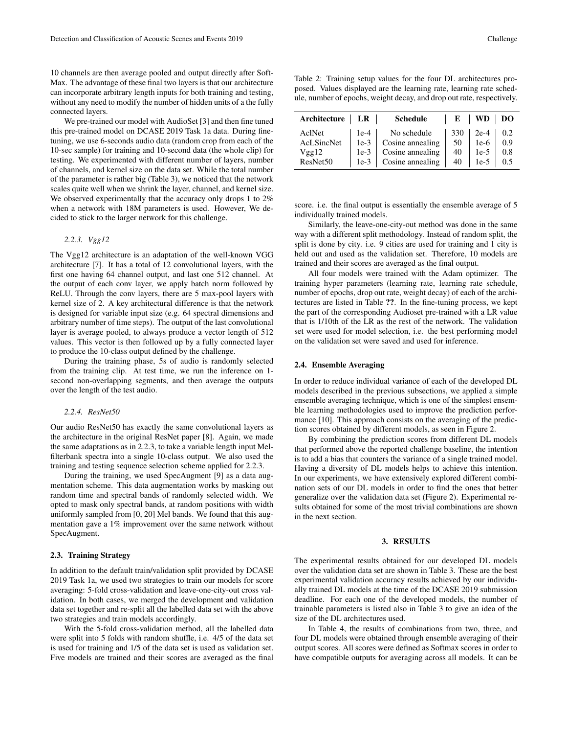10 channels are then average pooled and output directly after Soft-Max. The advantage of these final two layers is that our architecture can incorporate arbitrary length inputs for both training and testing, without any need to modify the number of hidden units of a the fully connected layers.

We pre-trained our model with AudioSet [3] and then fine tuned this pre-trained model on DCASE 2019 Task 1a data. During finetuning, we use 6-seconds audio data (random crop from each of the 10-sec sample) for training and 10-second data (the whole clip) for testing. We experimented with different number of layers, number of channels, and kernel size on the data set. While the total number of the parameter is rather big (Table 3), we noticed that the network scales quite well when we shrink the layer, channel, and kernel size. We observed experimentally that the accuracy only drops 1 to 2% when a network with 18M parameters is used. However, We decided to stick to the larger network for this challenge.

## *2.2.3. Vgg12*

The Vgg12 architecture is an adaptation of the well-known VGG architecture [7]. It has a total of 12 convolutional layers, with the first one having 64 channel output, and last one 512 channel. At the output of each conv layer, we apply batch norm followed by ReLU. Through the conv layers, there are 5 max-pool layers with kernel size of 2. A key architectural difference is that the network is designed for variable input size (e.g. 64 spectral dimensions and arbitrary number of time steps). The output of the last convolutional layer is average pooled, to always produce a vector length of 512 values. This vector is then followed up by a fully connected layer to produce the 10-class output defined by the challenge.

During the training phase, 5s of audio is randomly selected from the training clip. At test time, we run the inference on 1 second non-overlapping segments, and then average the outputs over the length of the test audio.

#### *2.2.4. ResNet50*

Our audio ResNet50 has exactly the same convolutional layers as the architecture in the original ResNet paper [8]. Again, we made the same adaptations as in 2.2.3, to take a variable length input Melfilterbank spectra into a single 10-class output. We also used the training and testing sequence selection scheme applied for 2.2.3.

During the training, we used SpecAugment [9] as a data augmentation scheme. This data augmentation works by masking out random time and spectral bands of randomly selected width. We opted to mask only spectral bands, at random positions with width uniformly sampled from [0, 20] Mel bands. We found that this augmentation gave a 1% improvement over the same network without SpecAugment.

## 2.3. Training Strategy

In addition to the default train/validation split provided by DCASE 2019 Task 1a, we used two strategies to train our models for score averaging: 5-fold cross-validation and leave-one-city-out cross validation. In both cases, we merged the development and validation data set together and re-split all the labelled data set with the above two strategies and train models accordingly.

With the 5-fold cross-validation method, all the labelled data were split into 5 folds with random shuffle, i.e. 4/5 of the data set is used for training and 1/5 of the data set is used as validation set. Five models are trained and their scores are averaged as the final

| Table 2: Training setup values for the four DL architectures pro-     |
|-----------------------------------------------------------------------|
| posed. Values displayed are the learning rate, learning rate sched-   |
| ule, number of epochs, weight decay, and drop out rate, respectively. |

| Architecture | LR     | <b>Schedule</b>  | E   | WD     | DO  |
|--------------|--------|------------------|-----|--------|-----|
| AclNet       | $1e-4$ | No schedule      | 330 | $2e-4$ | 0.2 |
| AcLSincNet   | $1e-3$ | Cosine annealing | 50  | $1e-6$ | 0.9 |
| Vgg12        | $1e-3$ | Cosine annealing | 40  | $1e-5$ | 0.8 |
| ResNet50     | $1e-3$ | Cosine annealing | 40  | $1e-5$ | 0.5 |

score. i.e. the final output is essentially the ensemble average of 5 individually trained models.

Similarly, the leave-one-city-out method was done in the same way with a different split methodology. Instead of random split, the split is done by city. i.e. 9 cities are used for training and 1 city is held out and used as the validation set. Therefore, 10 models are trained and their scores are averaged as the final output.

All four models were trained with the Adam optimizer. The training hyper parameters (learning rate, learning rate schedule, number of epochs, drop out rate, weight decay) of each of the architectures are listed in Table ??. In the fine-tuning process, we kept the part of the corresponding Audioset pre-trained with a LR value that is 1/10th of the LR as the rest of the network. The validation set were used for model selection, i.e. the best performing model on the validation set were saved and used for inference.

#### 2.4. Ensemble Averaging

In order to reduce individual variance of each of the developed DL models described in the previous subsections, we applied a simple ensemble averaging technique, which is one of the simplest ensemble learning methodologies used to improve the prediction performance [10]. This approach consists on the averaging of the prediction scores obtained by different models, as seen in Figure 2.

By combining the prediction scores from different DL models that performed above the reported challenge baseline, the intention is to add a bias that counters the variance of a single trained model. Having a diversity of DL models helps to achieve this intention. In our experiments, we have extensively explored different combination sets of our DL models in order to find the ones that better generalize over the validation data set (Figure 2). Experimental results obtained for some of the most trivial combinations are shown in the next section.

#### 3. RESULTS

The experimental results obtained for our developed DL models over the validation data set are shown in Table 3. These are the best experimental validation accuracy results achieved by our individually trained DL models at the time of the DCASE 2019 submission deadline. For each one of the developed models, the number of trainable parameters is listed also in Table 3 to give an idea of the size of the DL architectures used.

In Table 4, the results of combinations from two, three, and four DL models were obtained through ensemble averaging of their output scores. All scores were defined as Softmax scores in order to have compatible outputs for averaging across all models. It can be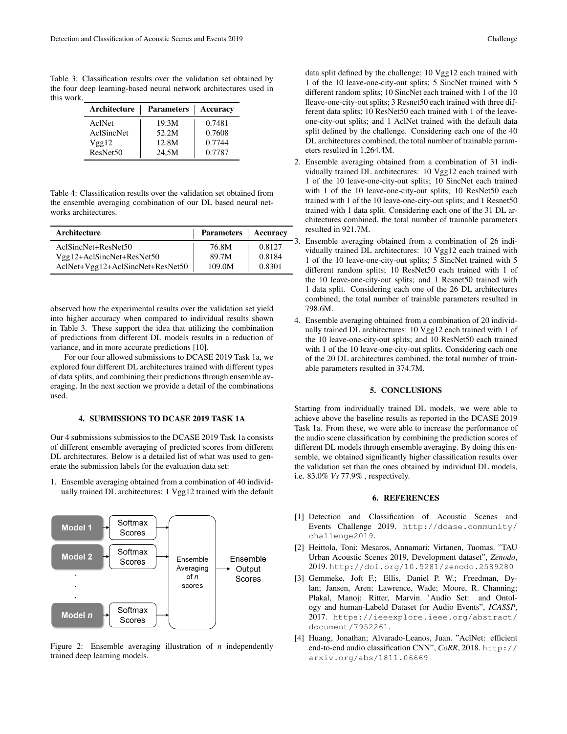Table 3: Classification results over the validation set obtained by the four deep learning-based neural network architectures used in this work.

| Architecture | Parameters | Accuracy |
|--------------|------------|----------|
| AclNet       | 19.3M      | 0.7481   |
| AclSincNet   | 52.2M      | 0.7608   |
| Vgg12        | 12.8M      | 0.7744   |
| ResNet50     | 24,5M      | 0.7787   |

Table 4: Classification results over the validation set obtained from the ensemble averaging combination of our DL based neural networks architectures.

| Architecture                     | Parameters   Accuracy |        |
|----------------------------------|-----------------------|--------|
| AclSincNet+ResNet50              | 76.8M                 | 0.8127 |
| Vgg12+AclSincNet+ResNet50        | 89.7M                 | 0.8184 |
| AclNet+Vgg12+AclSincNet+ResNet50 | 109.0M                | 0.8301 |

observed how the experimental results over the validation set yield into higher accuracy when compared to individual results shown in Table 3. These support the idea that utilizing the combination of predictions from different DL models results in a reduction of variance, and in more accurate predictions [10].

For our four allowed submissions to DCASE 2019 Task 1a, we explored four different DL architectures trained with different types of data splits, and combining their predictions through ensemble averaging. In the next section we provide a detail of the combinations used.

## 4. SUBMISSIONS TO DCASE 2019 TASK 1A

Our 4 submissions submissios to the DCASE 2019 Task 1a consists of different ensemble averaging of predicted scores from different DL architectures. Below is a detailed list of what was used to generate the submission labels for the evaluation data set:

1. Ensemble averaging obtained from a combination of 40 individually trained DL architectures: 1 Vgg12 trained with the default



Figure 2: Ensemble averaging illustration of *n* independently trained deep learning models.

data split defined by the challenge; 10 Vgg12 each trained with 1 of the 10 leave-one-city-out splits; 5 SincNet trained with 5 different random splits; 10 SincNet each trained with 1 of the 10 lleave-one-city-out splits; 3 Resnet50 each trained with three different data splits; 10 ResNet50 each trained with 1 of the leaveone-city-out splits; and 1 AclNet trained with the default data split defined by the challenge. Considering each one of the 40 DL architectures combined, the total number of trainable parameters resulted in 1,264.4M.

- 2. Ensemble averaging obtained from a combination of 31 individually trained DL architectures: 10 Vgg12 each trained with 1 of the 10 leave-one-city-out splits; 10 SincNet each trained with 1 of the 10 leave-one-city-out splits; 10 ResNet50 each trained with 1 of the 10 leave-one-city-out splits; and 1 Resnet50 trained with 1 data split. Considering each one of the 31 DL architectures combined, the total number of trainable parameters resulted in 921.7M.
- 3. Ensemble averaging obtained from a combination of 26 individually trained DL architectures: 10 Vgg12 each trained with 1 of the 10 leave-one-city-out splits; 5 SincNet trained with 5 different random splits; 10 ResNet50 each trained with 1 of the 10 leave-one-city-out splits; and 1 Resnet50 trained with 1 data split. Considering each one of the 26 DL architectures combined, the total number of trainable parameters resulted in 798.6M.
- 4. Ensemble averaging obtained from a combination of 20 individually trained DL architectures: 10 Vgg12 each trained with 1 of the 10 leave-one-city-out splits; and 10 ResNet50 each trained with 1 of the 10 leave-one-city-out splits. Considering each one of the 20 DL architectures combined, the total number of trainable parameters resulted in 374.7M.

#### 5. CONCLUSIONS

Starting from individually trained DL models, we were able to achieve above the baseline results as reported in the DCASE 2019 Task 1a. From these, we were able to increase the performance of the audio scene classification by combining the prediction scores of different DL models through ensemble averaging. By doing this ensemble, we obtained significantly higher classification results over the validation set than the ones obtained by individual DL models, i.e. 83.0% *Vs* 77.9% , respectively.

## 6. REFERENCES

- [1] Detection and Classification of Acoustic Scenes and Events Challenge 2019. http://dcase.community/ challenge2019.
- [2] Heittola, Toni; Mesaros, Annamari; Virtanen, Tuomas. "TAU Urban Acoustic Scenes 2019, Development dataset", *Zenodo*, 2019. http://doi.org/10.5281/zenodo.2589280
- [3] Gemmeke, Joft F.; Ellis, Daniel P. W.; Freedman, Dylan; Jansen, Aren; Lawrence, Wade; Moore, R. Channing; Plakal, Manoj; Ritter, Marvin. 'Audio Set: and Ontology and human-Labeld Dataset for Audio Events", *ICASSP*, 2017. https://ieeexplore.ieee.org/abstract/ document/7952261.
- [4] Huang, Jonathan; Alvarado-Leanos, Juan. "AclNet: efficient end-to-end audio classification CNN", *CoRR*, 2018. http:// arxiv.org/abs/1811.06669